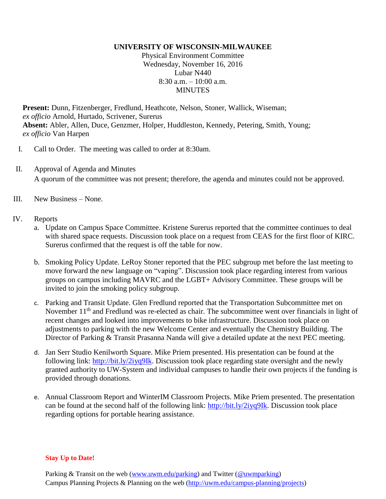## **UNIVERSITY OF WISCONSIN-MILWAUKEE**

Physical Environment Committee Wednesday, November 16, 2016 Lubar N440 8:30 a.m. – 10:00 a.m. **MINUTES** 

**Present:** Dunn, Fitzenberger, Fredlund, Heathcote, Nelson, Stoner, Wallick, Wiseman; *ex officio* Arnold, Hurtado, Scrivener, Surerus **Absent:** Abler, Allen, Duce, Genzmer, Holper, Huddleston, Kennedy, Petering, Smith, Young; *ex officio* Van Harpen

- I. Call to Order. The meeting was called to order at 8:30am.
- II. Approval of Agenda and Minutes A quorum of the committee was not present; therefore, the agenda and minutes could not be approved.
- III. New Business None.
- IV. Reports
	- a. Update on Campus Space Committee. Kristene Surerus reported that the committee continues to deal with shared space requests. Discussion took place on a request from CEAS for the first floor of KIRC. Surerus confirmed that the request is off the table for now.
	- b. Smoking Policy Update. LeRoy Stoner reported that the PEC subgroup met before the last meeting to move forward the new language on "vaping". Discussion took place regarding interest from various groups on campus including MAVRC and the LGBT+ Advisory Committee. These groups will be invited to join the smoking policy subgroup.
	- c. Parking and Transit Update. Glen Fredlund reported that the Transportation Subcommittee met on November 11<sup>th</sup> and Fredlund was re-elected as chair. The subcommittee went over financials in light of recent changes and looked into improvements to bike infrastructure. Discussion took place on adjustments to parking with the new Welcome Center and eventually the Chemistry Building. The Director of Parking & Transit Prasanna Nanda will give a detailed update at the next PEC meeting.
	- d. Jan Serr Studio Kenilworth Square. Mike Priem presented. His presentation can be found at the following link: [http://bit.ly/2iyq9Ik.](http://bit.ly/2iyq9Ik) Discussion took place regarding state oversight and the newly granted authority to UW-System and individual campuses to handle their own projects if the funding is provided through donations.
	- e. Annual Classroom Report and WinterIM Classroom Projects. Mike Priem presented. The presentation can be found at the second half of the following link: [http://bit.ly/2iyq9Ik.](http://bit.ly/2iyq9Ik) Discussion took place regarding options for portable hearing assistance.

## **Stay Up to Date!**

Parking & Transit on the web [\(www.uwm.edu/parking\)](http://www.uwm.edu/parking) and Twitter [\(@uwmparking\)](http://www.twitter.com/uwmparking) Campus Planning Projects & Planning on the web [\(http://uwm.edu/campus-planning/projects\)](http://uwm.edu/campus-planning/projects)